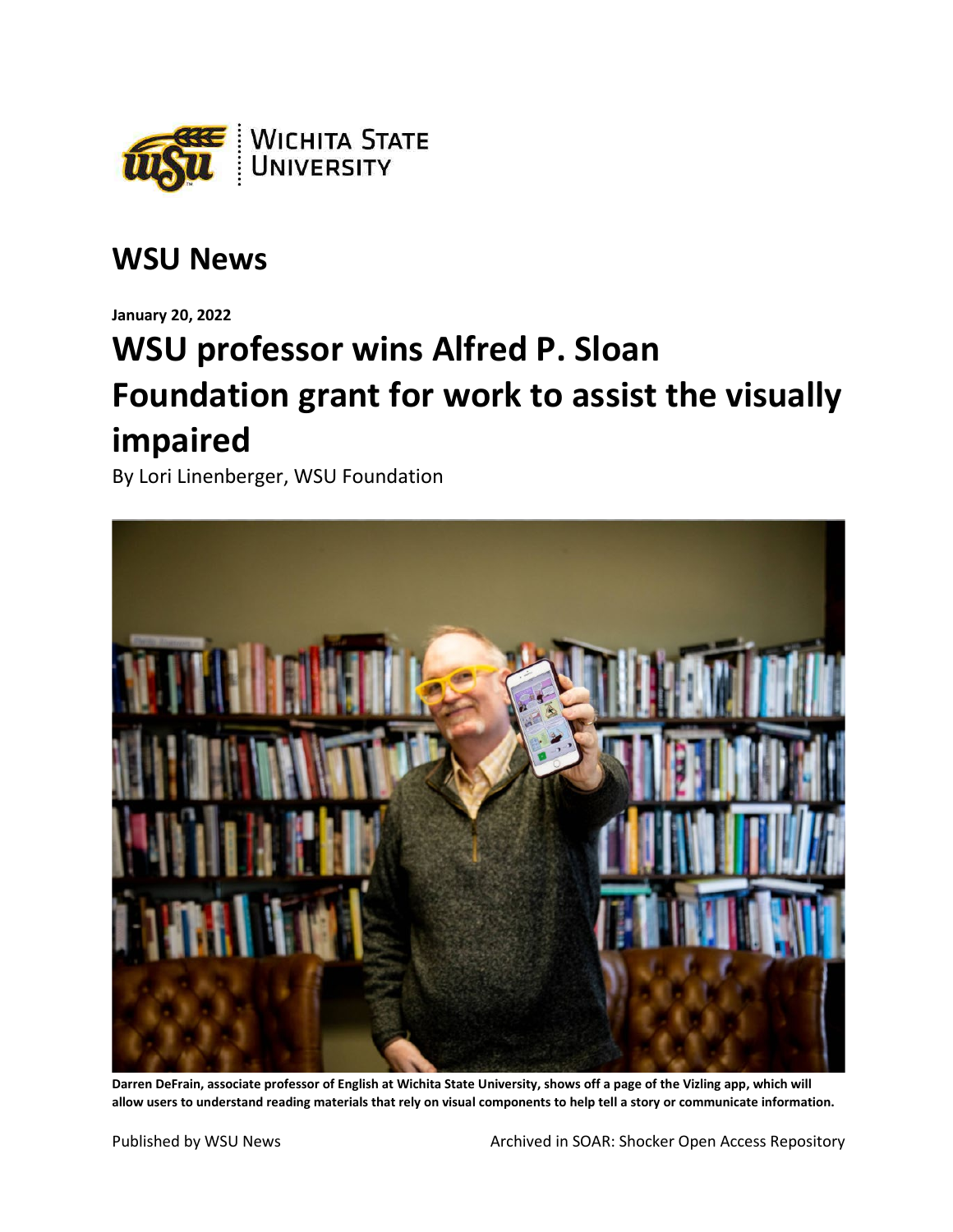

## **WSU News**

**January 20, 2022**

## **WSU professor wins Alfred P. Sloan Foundation grant for work to assist the visually impaired**

By Lori Linenberger, WSU Foundation



**Darren DeFrain, associate professor of English at Wichita State University, shows off a page of the Vizling app, which will allow users to understand reading materials that rely on visual components to help tell a story or communicate information.**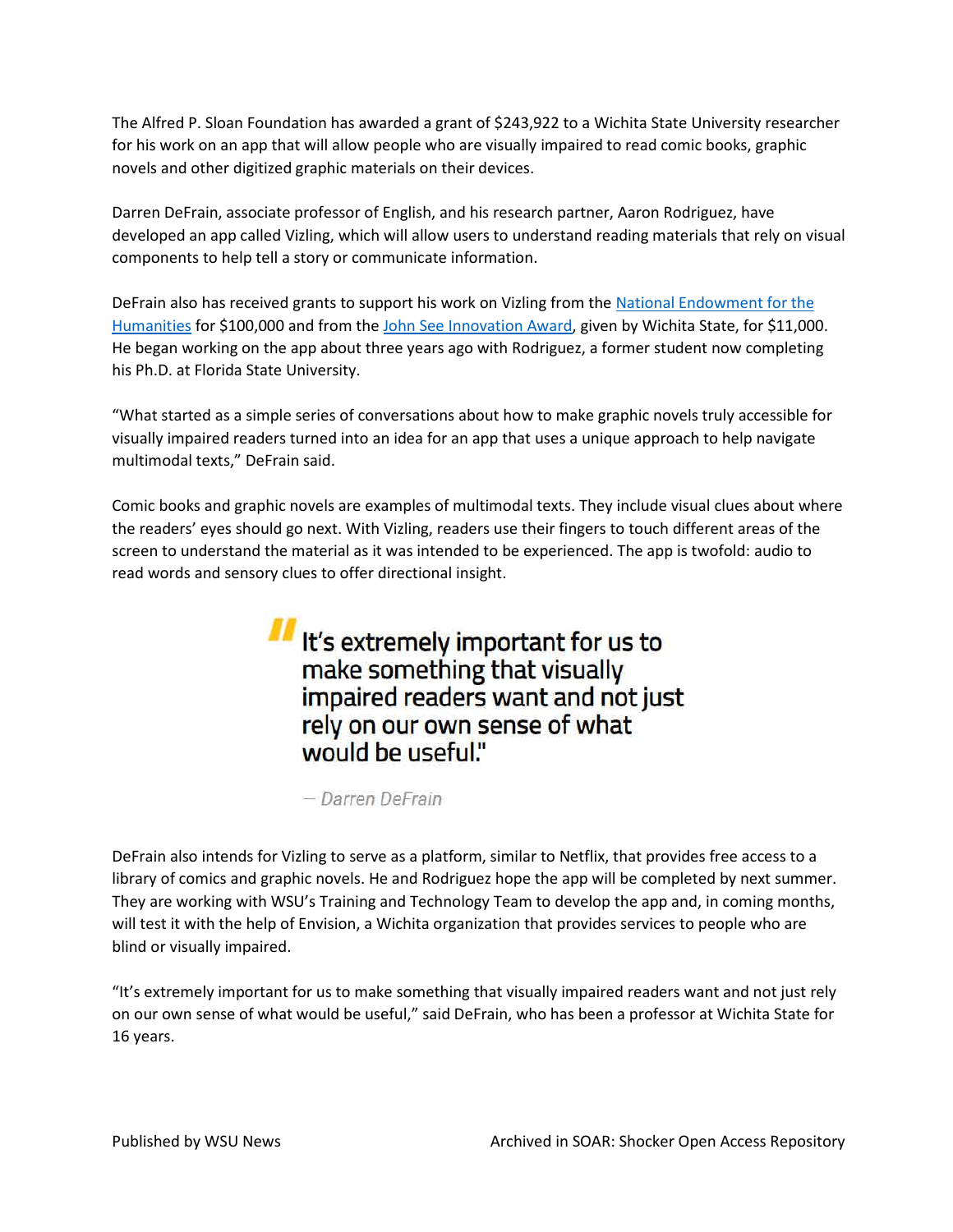The Alfred P. Sloan Foundation has awarded a grant of \$243,922 to a Wichita State University researcher for his work on an app that will allow people who are visually impaired to read comic books, graphic novels and other digitized graphic materials on their devices.

Darren DeFrain, associate professor of English, and his research partner, Aaron Rodriguez, have developed an app called Vizling, which will allow users to understand reading materials that rely on visual components to help tell a story or communicate information.

DeFrain also has received grants to support his work on Vizling from the [National Endowment for the](https://www.wichita.edu/about/wsunews/news/2021/08-aug/vizling_3.php)  [Humanities](https://www.wichita.edu/about/wsunews/news/2021/08-aug/vizling_3.php) for \$100,000 and from the [John See Innovation Award,](https://www.wichita.edu/about/wsunews/news/2021/02-feb/vizling_3.php) given by Wichita State, for \$11,000. He began working on the app about three years ago with Rodriguez, a former student now completing his Ph.D. at Florida State University.

"What started as a simple series of conversations about how to make graphic novels truly accessible for visually impaired readers turned into an idea for an app that uses a unique approach to help navigate multimodal texts," DeFrain said.

Comic books and graphic novels are examples of multimodal texts. They include visual clues about where the readers' eyes should go next. With Vizling, readers use their fingers to touch different areas of the screen to understand the material as it was intended to be experienced. The app is twofold: audio to read words and sensory clues to offer directional insight.

> If It's extremely important for us to make something that visually impaired readers want and not just rely on our own sense of what would be useful."

- Darren DeFrain

DeFrain also intends for Vizling to serve as a platform, similar to Netflix, that provides free access to a library of comics and graphic novels. He and Rodriguez hope the app will be completed by next summer. They are working with WSU's Training and Technology Team to develop the app and, in coming months, will test it with the help of Envision, a Wichita organization that provides services to people who are blind or visually impaired.

"It's extremely important for us to make something that visually impaired readers want and not just rely on our own sense of what would be useful," said DeFrain, who has been a professor at Wichita State for 16 years.